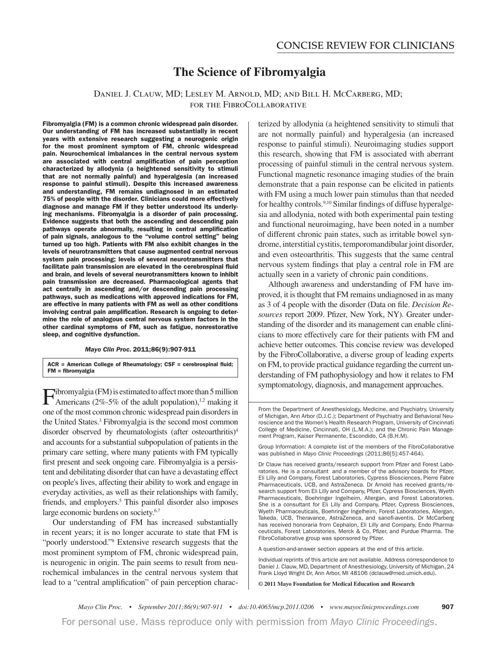# **The Science of Fibromyalgia**

### Daniel J. Clauw, MD; Lesley M. Arnold, MD; and Bill H. McCarberg, MD; FOR THE FIBROCOLLABORATIVE

**Fibromyalgia (FM) is a common chronic widespread pain disorder. Our understanding of FM has increased substantially in recent years with extensive research suggesting a neurogenic origin for the most prominent symptom of FM, chronic widespread pain. Neurochemical imbalances in the central nervous system are associated with central amplification of pain perception characterized by allodynia (a heightened sensitivity to stimuli that are not normally painful) and hyperalgesia (an increased response to painful stimuli). Despite this increased awareness and understanding, FM remains undiagnosed in an estimated 75% of people with the disorder. Clinicians could more effectively diagnose and manage FM if they better understood its underlying mechanisms. Fibromyalgia is a disorder of pain processing. Evidence suggests that both the ascending and descending pain pathways operate abnormally, resulting in central amplification of pain signals, analogous to the "volume control setting" being turned up too high. Patients with FM also exhibit changes in the levels of neurotransmitters that cause augmented central nervous system pain processing; levels of several neurotransmitters that facilitate pain transmission are elevated in the cerebrospinal fluid and brain, and levels of several neurotransmitters known to inhibit pain transmission are decreased. Pharmacological agents that act centrally in ascending and/or descending pain processing pathways, such as medications with approved indications for FM, are effective in many patients with FM as well as other conditions involving central pain amplification. Research is ongoing to determine the role of analogous central nervous system factors in the other cardinal symptoms of FM, such as fatigue, nonrestorative sleep, and cognitive dysfunction.**

#### *Mayo Clin Proc.* **2011;86(9):907-911**

**ACR = American College of Rheumatology; CSF = cerebrospinal fluid; FM = fibromyalgia**

Fibromyalgia (FM) is estimated to affect more than 5 million<br>Americans (20%, 50%) Americans (2%-5% of the adult population),<sup>1,2</sup> making it one of the most common chronic widespread pain disorders in the United States.3 Fibromyalgia is the second most common disorder observed by rheumatologists (after osteoarthritis)<sup>4</sup> and accounts for a substantial subpopulation of patients in the primary care setting, where many patients with FM typically first present and seek ongoing care. Fibromyalgia is a persistent and debilitating disorder that can have a devastating effect on people's lives, affecting their ability to work and engage in everyday activities, as well as their relationships with family, friends, and employers.<sup>5</sup> This painful disorder also imposes large economic burdens on society.<sup>6,7</sup>

 Our understanding of FM has increased substantially in recent years; it is no longer accurate to state that FM is "poorly understood."8 Extensive research suggests that the most prominent symptom of FM, chronic widespread pain, is neurogenic in origin. The pain seems to result from neurochemical imbalances in the central nervous system that lead to a "central amplification" of pain perception characterized by allodynia (a heightened sensitivity to stimuli that are not normally painful) and hyperalgesia (an increased response to painful stimuli). Neuroimaging studies support this research, showing that FM is associated with aberrant processing of painful stimuli in the central nervous system. Functional magnetic resonance imaging studies of the brain demonstrate that a pain response can be elicited in patients with FM using a much lower pain stimulus than that needed for healthy controls.<sup>9,10</sup> Similar findings of diffuse hyperalgesia and allodynia, noted with both experimental pain testing and functional neuroimaging, have been noted in a number of different chronic pain states, such as irritable bowel syndrome, interstitial cystitis, temporomandibular joint disorder, and even osteoarthritis. This suggests that the same central nervous system findings that play a central role in FM are actually seen in a variety of chronic pain conditions.

 Although awareness and understanding of FM have improved, it is thought that FM remains undiagnosed in as many as 3 of 4 people with the disorder (Data on file. *Decision Resources* report 2009. Pfizer, New York, NY). Greater understanding of the disorder and its management can enable clinicians to more effectively care for their patients with FM and achieve better outcomes. This concise review was developed by the FibroCollaborative, a diverse group of leading experts on FM, to provide practical guidance regarding the current understanding of FM pathophysiology and how it relates to FM symptomatology, diagnosis, and management approaches.

From the Department of Anesthesiology, Medicine, and Psychiatry, University of Michigan, Ann Arbor (D.J.C.); Department of Psychiatry and Behavioral Neuroscience and the Women's Health Research Program, University of Cincinnati College of Medicine, Cincinnati, OH (L.M.A.); and the Chronic Pain Management Program, Kaiser Permanente, Escondido, CA (B.H.M).

Group Information: A complete list of the members of the FibroCollaborative was published in Mayo Clinic Proceedings (2011;86[5]:457-464).

Dr Clauw has received grants/research support from Pfizer and Forest Laboratories. He is a consultant and a member of the advisory boards for Pfizer, Eli Lilly and Company, Forest Laboratories, Cypress Biosciences, Pierre Fabre Pharmaceuticals, UCB, and AstraZeneca. Dr Arnold has received grants/research support from Eli Lilly and Company, Pfizer, Cypress Biosciences, Wyeth Pharmaceuticals, Boehringer Ingelheim, Allergan, and Forest Laboratories. She is a consultant for Eli Lilly and Company, Pfizer, Cypress Biosciences, Wyeth Pharmaceuticals, Boehringer Ingelheim, Forest Laboratories, Allergan, Takeda, UCB, Theravance, AstraZeneca, and sanofi-aventis. Dr McCarberg has received honoraria from Cephalon, Eli Lilly and Company, Endo Pharmaceuticals, Forest Laboratories, Merck & Co, Pfizer, and Purdue Pharma. The FibroCollaborative group was sponsored by Pfizer.

A question-and-answer section appears at the end of this article.

Individual reprints of this article are not available. Address correspondence to Daniel J. Clauw, MD, Department of Anesthesiology, University of Michigan, 24 Frank Lloyd Wright Dr, Ann Arbor, MI 48106 (dclauw@med.umich.edu).

**© 2011 Mayo Foundation for Medical Education and Research**

*.BZP\$MJO1SPDr4FQUFNCFS rEPJNDQrXXXNBZPDMJOJDQSPDFFEJOHTDPN* **907**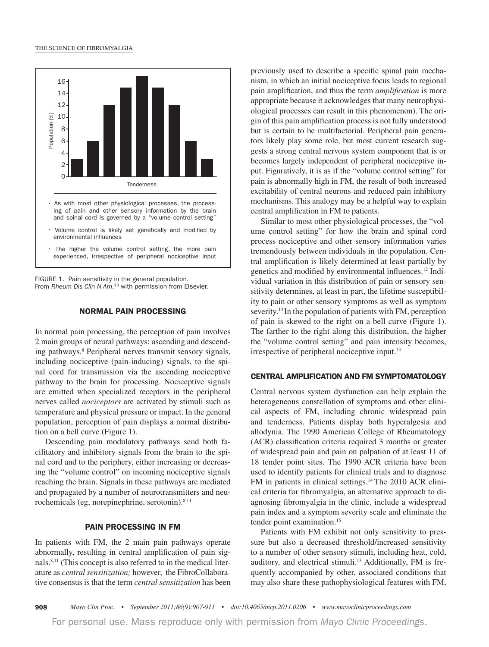

The higher the volume control setting, the more pain experienced, irrespective of peripheral nociceptive input

FIGURE 1. Pain sensitivity in the general population. From Rheum Dis Clin N Am,<sup>13</sup> with permission from Elsevier.

### **NORMAL PAIN PROCESSING**

In normal pain processing, the perception of pain involves 2 main groups of neural pathways: ascending and descending pathways.8 Peripheral nerves transmit sensory signals, including nociceptive (pain-inducing) signals, to the spinal cord for transmission via the ascending nociceptive pathway to the brain for processing. Nociceptive signals are emitted when specialized receptors in the peripheral nerves called *nociceptors* are activated by stimuli such as temperature and physical pressure or impact. In the general population, perception of pain displays a normal distribution on a bell curve (Figure 1).

 Descending pain modulatory pathways send both facilitatory and inhibitory signals from the brain to the spinal cord and to the periphery, either increasing or decreasing the "volume control" on incoming nociceptive signals reaching the brain. Signals in these pathways are mediated and propagated by a number of neurotransmitters and neurochemicals (eg, norepinephrine, serotonin). $8,11$ 

### **PAIN PROCESSING IN FM**

In patients with FM, the 2 main pain pathways operate abnormally, resulting in central amplification of pain signals.8,11 (This concept is also referred to in the medical literature as *central sensitization*: however, the FibroCollaborative consensus is that the term *central sensitization* has been previously used to describe a specific spinal pain mechanism, in which an initial nociceptive focus leads to regional pain amplification, and thus the term *amplification* is more appropriate because it acknowledges that many neurophysiological processes can result in this phenomenon). The origin of this pain amplification process is not fully understood but is certain to be multifactorial. Peripheral pain generators likely play some role, but most current research suggests a strong central nervous system component that is or becomes largely independent of peripheral nociceptive input. Figuratively, it is as if the "volume control setting" for pain is abnormally high in FM, the result of both increased excitability of central neurons and reduced pain inhibitory mechanisms. This analogy may be a helpful way to explain central amplification in FM to patients.

 Similar to most other physiological processes, the "volume control setting" for how the brain and spinal cord process nociceptive and other sensory information varies tremendously between individuals in the population. Central amplification is likely determined at least partially by genetics and modified by environmental influences.12 Individual variation in this distribution of pain or sensory sensitivity determines, at least in part, the lifetime susceptibility to pain or other sensory symptoms as well as symptom severity.<sup>13</sup> In the population of patients with FM, perception of pain is skewed to the right on a bell curve (Figure 1). The farther to the right along this distribution, the higher the "volume control setting" and pain intensity becomes, irrespective of peripheral nociceptive input.<sup>13</sup>

#### **CENTRAL AMPLIFICATION AND FM SYMPTOMATOLOGY**

Central nervous system dysfunction can help explain the heterogeneous constellation of symptoms and other clinical aspects of FM, including chronic widespread pain and tenderness. Patients display both hyperalgesia and allodynia. The 1990 American College of Rheumatology (ACR) classification criteria required 3 months or greater of widespread pain and pain on palpation of at least 11 of 18 tender point sites. The 1990 ACR criteria have been used to identify patients for clinical trials and to diagnose FM in patients in clinical settings.14 The 2010 ACR clinical criteria for fibromyalgia, an alternative approach to diagnosing fibromyalgia in the clinic, include a widespread pain index and a symptom severity scale and eliminate the tender point examination.<sup>15</sup>

 Patients with FM exhibit not only sensitivity to pressure but also a decreased threshold/increased sensitivity to a number of other sensory stimuli, including heat, cold, auditory, and electrical stimuli.<sup>13</sup> Additionally, FM is frequently accompanied by other, associated conditions that may also share these pathophysiological features with FM,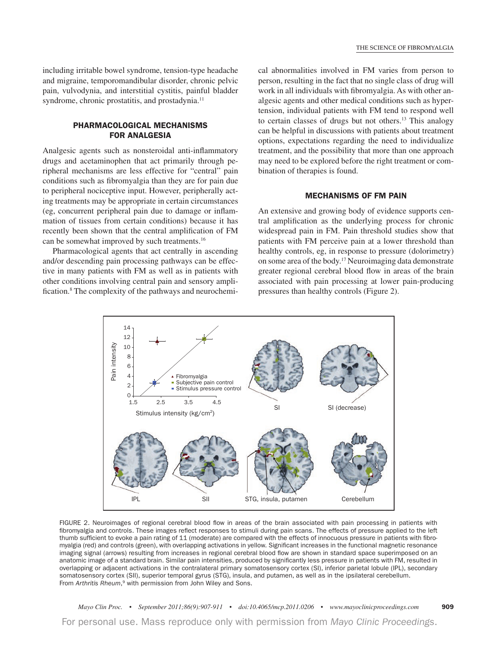including irritable bowel syndrome, tension-type headache and migraine, temporomandibular disorder, chronic pelvic pain, vulvodynia, and interstitial cystitis, painful bladder syndrome, chronic prostatitis, and prostadynia.<sup>11</sup>

### **PHARMACOLOGICAL MECHANISMS FOR ANALGESIA**

Analgesic agents such as nonsteroidal anti-inflammatory drugs and acetaminophen that act primarily through peripheral mechanisms are less effective for "central" pain conditions such as fibromyalgia than they are for pain due to peripheral nociceptive input. However, peripherally acting treatments may be appropriate in certain circumstances (eg, concurrent peripheral pain due to damage or inflammation of tissues from certain conditions) because it has recently been shown that the central amplification of FM can be somewhat improved by such treatments.16

 Pharmacological agents that act centrally in ascending and/or descending pain processing pathways can be effective in many patients with FM as well as in patients with other conditions involving central pain and sensory amplification.<sup>8</sup> The complexity of the pathways and neurochemical abnormalities involved in FM varies from person to person, resulting in the fact that no single class of drug will work in all individuals with fibromyalgia. As with other analgesic agents and other medical conditions such as hypertension, individual patients with FM tend to respond well to certain classes of drugs but not others.13 This analogy can be helpful in discussions with patients about treatment options, expectations regarding the need to individualize treatment, and the possibility that more than one approach may need to be explored before the right treatment or combination of therapies is found.

### **MECHANISMS OF FM PAIN**

An extensive and growing body of evidence supports central amplification as the underlying process for chronic widespread pain in FM. Pain threshold studies show that patients with FM perceive pain at a lower threshold than healthy controls, eg, in response to pressure (dolorimetry) on some area of the body.17 Neuroimaging data demonstrate greater regional cerebral blood flow in areas of the brain associated with pain processing at lower pain-producing pressures than healthy controls (Figure 2).



FIGURE 2. Neuroimages of regional cerebral blood flow in areas of the brain associated with pain processing in patients with fibromyalgia and controls. These images reflect responses to stimuli during pain scans. The effects of pressure applied to the left thumb sufficient to evoke a pain rating of 11 (moderate) are compared with the effects of innocuous pressure in patients with fibromyalgia (red) and controls (green), with overlapping activations in yellow. Significant increases in the functional magnetic resonance imaging signal (arrows) resulting from increases in regional cerebral blood flow are shown in standard space superimposed on an anatomic image of a standard brain. Similar pain intensities, produced by significantly less pressure in patients with FM, resulted in overlapping or adjacent activations in the contralateral primary somatosensory cortex (SI), inferior parietal lobule (IPL), secondary somatosensory cortex (SII), superior temporal gyrus (STG), insula, and putamen, as well as in the ipsilateral cerebellum. From Arthritis Rheum,<sup>9</sup> with permission from John Wiley and Sons.

*.BZP\$MJO1SPDr4FQUFNCFS rEPJNDQrXXXNBZPDMJOJDQSPDFFEJOHTDPN* **909**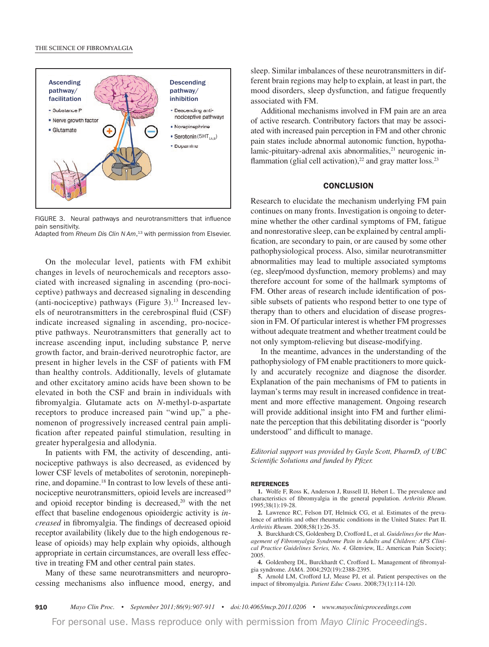



Adapted from Rheum Dis Clin N Am,<sup>13</sup> with permission from Elsevier.

 On the molecular level, patients with FM exhibit changes in levels of neurochemicals and receptors associated with increased signaling in ascending (pro-nociceptive) pathways and decreased signaling in descending (anti-nociceptive) pathways (Figure  $3$ ).<sup>13</sup> Increased levels of neurotransmitters in the cerebrospinal fluid (CSF) indicate increased signaling in ascending, pro-nociceptive pathways. Neurotransmitters that generally act to increase ascending input, including substance P, nerve growth factor, and brain-derived neurotrophic factor, are present in higher levels in the CSF of patients with FM than healthy controls. Additionally, levels of glutamate and other excitatory amino acids have been shown to be elevated in both the CSF and brain in individuals with fibromyalgia. Glutamate acts on *N*-methyl-p-aspartate receptors to produce increased pain "wind up," a phenomenon of progressively increased central pain amplification after repeated painful stimulation, resulting in greater hyperalgesia and allodynia.

 In patients with FM, the activity of descending, antinociceptive pathways is also decreased, as evidenced by lower CSF levels of metabolites of serotonin, norepinephrine, and dopamine.18 In contrast to low levels of these antinociceptive neurotransmitters, opioid levels are increased<sup>19</sup> and opioid receptor binding is decreased, $20$  with the net effect that baseline endogenous opioidergic activity is *in creased* in fibromyalgia. The findings of decreased opioid receptor availability (likely due to the high endogenous release of opioids) may help explain why opioids, although appropriate in certain circumstances, are overall less effective in treating FM and other central pain states.

 Many of these same neurotransmitters and neuroprocessing mechanisms also influence mood, energy, and sleep. Similar imbalances of these neurotransmitters in different brain regions may help to explain, at least in part, the mood disorders, sleep dysfunction, and fatigue frequently associated with FM.

 Additional mechanisms involved in FM pain are an area of active research. Contributory factors that may be associated with increased pain perception in FM and other chronic pain states include abnormal autonomic function, hypotha $lamic$ -pituitary-adrenal axis abnormalities, $2<sup>1</sup>$  neurogenic inflammation (glial cell activation),<sup>22</sup> and gray matter loss.<sup>23</sup>

### **CONCLUSION**

Research to elucidate the mechanism underlying FM pain continues on many fronts. Investigation is ongoing to determine whether the other cardinal symptoms of FM, fatigue and nonrestorative sleep, can be explained by central amplification, are secondary to pain, or are caused by some other pathophysiological process. Also, similar neurotransmitter abnormalities may lead to multiple associated symptoms (eg, sleep/mood dysfunction, memory problems) and may therefore account for some of the hallmark symptoms of FM. Other areas of research include identification of possible subsets of patients who respond better to one type of therapy than to others and elucidation of disease progression in FM. Of particular interest is whether FM progresses without adequate treatment and whether treatment could be not only symptom-relieving but disease-modifying.

 In the meantime, advances in the understanding of the pathophysiology of FM enable practitioners to more quickly and accurately recognize and diagnose the disorder. Explanation of the pain mechanisms of FM to patients in layman's terms may result in increased confidence in treatment and more effective management. Ongoing research will provide additional insight into FM and further eliminate the perception that this debilitating disorder is "poorly understood" and difficult to manage.

Editorial support was provided by Gayle Scott, PharmD, of UBC *Scientific Solutions and funded by Pfizer.* 

#### **REFERENCES**

**1.** Wolfe F, Ross K, Anderson J, Russell IJ, Hebert L. The prevalence and characteristics of fibromyalgia in the general population. *Arthritis Rheum*. 1995;38(1):19-28.

**2.** Lawrence RC, Felson DT, Helmick CG, et al. Estimates of the prevalence of arthritis and other rheumatic conditions in the United States: Part II. Arthritis Rheum 2008:58(1):26-35.

3. Burckhardt CS, Goldenberg D, Crofford L, et al. *Guidelines for the Man*agement of Fibromyalgia Syndrome Pain in Adults and Children: APS Clinical Practice Guidelines Series, No. 4. Glenview, IL: American Pain Society; 2005.

**4.** Goldenberg DL, Burckhardt C, Crofford L. Management of fibromyalgia syndrome. *JAMA*. 2004;292(19):2388-2395.

**5.** Arnold LM, Crofford LJ, Mease PJ, et al. Patient perspectives on the impact of fibromyalgia. *Patient Educ Couns*. 2008;73(1):114-120.

**910** *Mayo Clin Proc. • September 2011;86(9):907-911 • doi:10.4065/mcp.2011.0206 • www.mayoclinicproceedings.com*